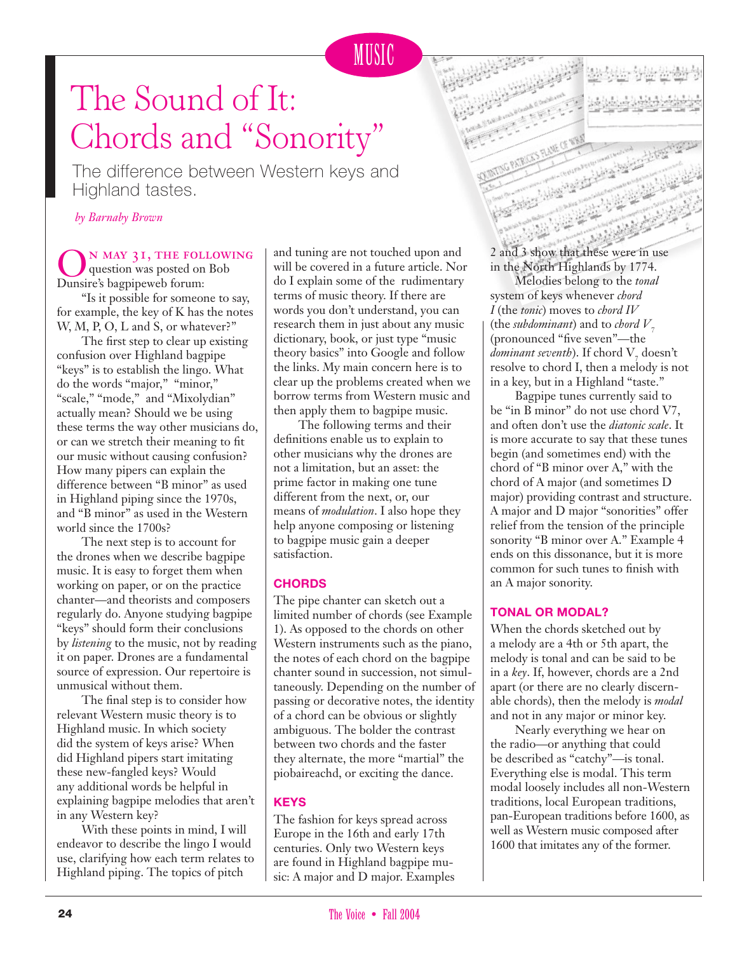# The Sound of It: Chords and "Sonority"

The difference between Western keys and Highland tastes.

*by Barnaby Brown*

N MAY 31, THE FOLLOWING question was posted on Bob Dunsire's bagpipeweb forum:

"Is it possible for someone to say, for example, the key of K has the notes W, M, P, O, L and S, or whatever?"

The first step to clear up existing confusion over Highland bagpipe "keys" is to establish the lingo. What do the words "major," "minor," "scale," "mode," and "Mixolydian" actually mean? Should we be using these terms the way other musicians do, or can we stretch their meaning to fit our music without causing confusion? How many pipers can explain the difference between "B minor" as used in Highland piping since the 1970s, and "B minor" as used in the Western world since the 1700s?

The next step is to account for the drones when we describe bagpipe music. It is easy to forget them when working on paper, or on the practice chanter—and theorists and composers regularly do. Anyone studying bagpipe "keys" should form their conclusions by *listening* to the music, not by reading it on paper. Drones are a fundamental source of expression. Our repertoire is unmusical without them.

The final step is to consider how relevant Western music theory is to Highland music. In which society did the system of keys arise? When did Highland pipers start imitating these new-fangled keys? Would any additional words be helpful in explaining bagpipe melodies that aren't in any Western key?

With these points in mind, I will endeavor to describe the lingo I would use, clarifying how each term relates to Highland piping. The topics of pitch

and tuning are not touched upon and will be covered in a future article. Nor do I explain some of the rudimentary terms of music theory. If there are words you don't understand, you can research them in just about any music dictionary, book, or just type "music theory basics" into Google and follow the links. My main concern here is to clear up the problems created when we borrow terms from Western music and then apply them to bagpipe music.

The following terms and their definitions enable us to explain to other musicians why the drones are not a limitation, but an asset: the prime factor in making one tune different from the next, or, our means of *modulation*. I also hope they help anyone composing or listening to bagpipe music gain a deeper satisfaction.

## **CHORDS**

The pipe chanter can sketch out a limited number of chords (see Example 1). As opposed to the chords on other Western instruments such as the piano, the notes of each chord on the bagpipe chanter sound in succession, not simultaneously. Depending on the number of passing or decorative notes, the identity of a chord can be obvious or slightly ambiguous. The bolder the contrast between two chords and the faster they alternate, the more "martial" the piobaireachd, or exciting the dance.

## **KEYS**

The fashion for keys spread across Europe in the 16th and early 17th centuries. Only two Western keys are found in Highland bagpipe music: A major and D major. Examples 2 and 3 show that these were in use in the North Highlands by 1774.

Melodies belong to the *tonal* system of keys whenever *chord I* (the *tonic*) moves to *chord IV* (the *subdominant*) and to *chord*  $V<sub>z</sub>$ (pronounced "five seven"—the *dominant seventh*). If chord  $V<sub>7</sub>$  doesn't resolve to chord I, then a melody is not in a key, but in a Highland "taste."

Bagpipe tunes currently said to be "in B minor" do not use chord V7, and often don't use the *diatonic scale*. It is more accurate to say that these tunes begin (and sometimes end) with the chord of "B minor over A," with the chord of A major (and sometimes D major) providing contrast and structure. A major and D major "sonorities" offer relief from the tension of the principle sonority "B minor over A." Example 4 ends on this dissonance, but it is more common for such tunes to finish with an A major sonority.

## **TONAL OR MODAL?**

When the chords sketched out by a melody are a 4th or 5th apart, the melody is tonal and can be said to be in a *key*. If, however, chords are a 2nd apart (or there are no clearly discernable chords), then the melody is *modal* and not in any major or minor key.

Nearly everything we hear on the radio—or anything that could be described as "catchy"—is tonal. Everything else is modal. This term modal loosely includes all non-Western traditions, local European traditions, pan-European traditions before 1600, as well as Western music composed after 1600 that imitates any of the former.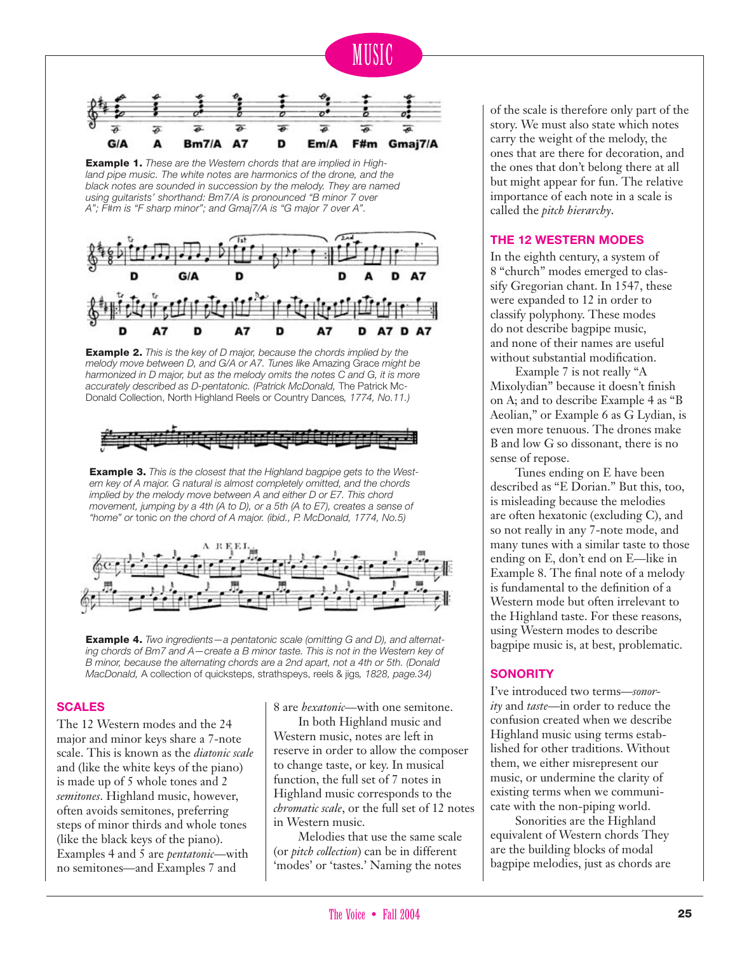

MUSIC

F#m Gmai7/A



Example 1. *These are the Western chords that are implied in High*land pipe music. The white notes are harmonics of the drone, and the *black notes are sounded in succession by the melody. They are named using guitarists' shorthand: Bm7/A is pronounced "B minor 7 over A"; F#m is "F sharp minor"; and Gmaj7/A is "G major 7 over A".* 

A7

D

Em/A

 $Bm7/A$ 

GIA

A

Example 2. *This is the key of D major, because the chords implied by the melody move between D, and G/A or A7. Tunes like* Amazing Grace *might be harmonized in D major, but as the melody omits the notes C and G, it is more accurately described as D-pentatonic. (Patrick McDonald,* The Patrick Mc-Donald Collection, North Highland Reels or Country Dances*, 1774, No.11.)*

Δ7

Example 3. *This is the closest that the Highland bagpipe gets to the Western key of A major. G natural is almost completely omitted, and the chords* 

Example 4. *Two ingredients—a pentatonic scale (omitting G and D), and alternating chords of Bm7 and A—create a B minor taste. This is not in the Western key of B minor, because the alternating chords are a 2nd apart, not a 4th or 5th. (Donald MacDonald,* A collection of quicksteps, strathspeys, reels & jigs*, 1828, page.34)*

## **SCALES**

The 12 Western modes and the 24 major and minor keys share a 7-note scale. This is known as the *diatonic scale* and (like the white keys of the piano) is made up of 5 whole tones and 2 *semitones*. Highland music, however, often avoids semitones, preferring steps of minor thirds and whole tones (like the black keys of the piano). Examples 4 and 5 are *pentatonic*—with no semitones—and Examples 7 and

8 are *hexatonic*—with one semitone.

In both Highland music and Western music, notes are left in reserve in order to allow the composer to change taste, or key. In musical function, the full set of 7 notes in Highland music corresponds to the *chromatic scale*, or the full set of 12 notes in Western music.

Melodies that use the same scale (or *pitch collection*) can be in different 'modes' or 'tastes.' Naming the notes

of the scale is therefore only part of the story. We must also state which notes carry the weight of the melody, the ones that are there for decoration, and the ones that don't belong there at all but might appear for fun. The relative importance of each note in a scale is called the *pitch hierarchy*.

## **THE 12 WESTERN MODES**

In the eighth century, a system of 8 "church" modes emerged to classify Gregorian chant. In 1547, these were expanded to 12 in order to classify polyphony. These modes do not describe bagpipe music, and none of their names are useful without substantial modification.

Example 7 is not really "A Mixolydian" because it doesn't finish on A; and to describe Example 4 as "B Aeolian," or Example 6 as G Lydian, is even more tenuous. The drones make B and low G so dissonant, there is no sense of repose.

Tunes ending on E have been described as "E Dorian." But this, too, is misleading because the melodies are often hexatonic (excluding C), and so not really in any 7-note mode, and many tunes with a similar taste to those ending on E, don't end on E—like in Example 8. The final note of a melody is fundamental to the definition of a Western mode but often irrelevant to the Highland taste. For these reasons, using Western modes to describe bagpipe music is, at best, problematic.

## **SONORITY**

I've introduced two terms—*sonority* and *taste*—in order to reduce the confusion created when we describe Highland music using terms established for other traditions. Without them, we either misrepresent our music, or undermine the clarity of existing terms when we communicate with the non-piping world.

Sonorities are the Highland equivalent of Western chords They are the building blocks of modal bagpipe melodies, just as chords are